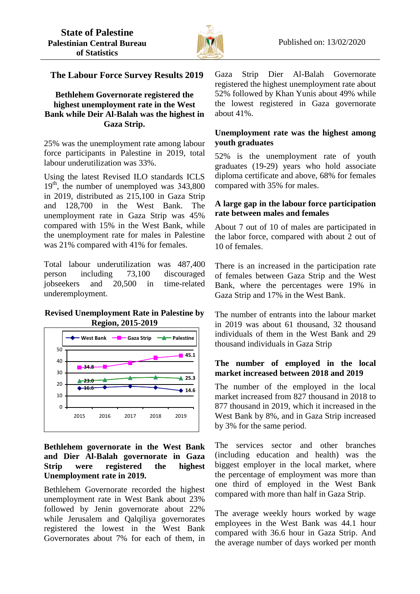

# **The Labour Force Survey Results 2019**

# **Bethlehem Governorate registered the highest unemployment rate in the West Bank while Deir Al-Balah was the highest in Gaza Strip.**

25% was the unemployment rate among labour force participants in Palestine in 2019, total labour underutilization was 33%.

Using the latest Revised ILO standards ICLS  $19<sup>th</sup>$ , the number of unemployed was 343,800 in 2019, distributed as 215,100 in Gaza Strip and 128,700 in the West Bank. The unemployment rate in Gaza Strip was 45% compared with 15% in the West Bank, while the unemployment rate for males in Palestine was 21% compared with 41% for females.

Total labour underutilization was 487,400 person including 73,100 discouraged jobseekers and 20,500 in time-related underemployment.

### **Revised Unemployment Rate in Palestine by Region, 2015-2019**



## **Bethlehem governorate in the West Bank and Dier Al-Balah governorate in Gaza Strip were registered the highest Unemployment rate in 2019.**

Bethlehem Governorate recorded the highest unemployment rate in West Bank about 23% followed by Jenin governorate about 22% while Jerusalem and Qalqiliya governorates registered the lowest in the West Bank Governorates about 7% for each of them, in Gaza Strip Dier Al-Balah Governorate registered the highest unemployment rate about 52% followed by Khan Yunis about 49% while the lowest registered in Gaza governorate about 41%.

# **Unemployment rate was the highest among youth graduates**

52% is the unemployment rate of youth graduates (19-29) years who hold associate diploma certificate and above, 68% for females compared with 35% for males.

# **A large gap in the labour force participation rate between males and females**

About 7 out of 10 of males are participated in the labor force, compared with about 2 out of 10 of females.

There is an increased in the participation rate of females between Gaza Strip and the West Bank, where the percentages were 19% in Gaza Strip and 17% in the West Bank.

The number of entrants into the labour market in 2019 was about 61 thousand, 32 thousand individuals of them in the West Bank and 29 thousand individuals in Gaza Strip

# **The number of employed in the local market increased between 2018 and 2019**

The number of the employed in the local market increased from 827 thousand in 2018 to 877 thousand in 2019, which it increased in the West Bank by 8%, and in Gaza Strip increased by 3% for the same period.

The services sector and other branches (including education and health) was the biggest employer in the local market, where the percentage of employment was more than one third of employed in the West Bank compared with more than half in Gaza Strip.

The average weekly hours worked by wage employees in the West Bank was 44.1 hour compared with 36.6 hour in Gaza Strip. And the average number of days worked per month